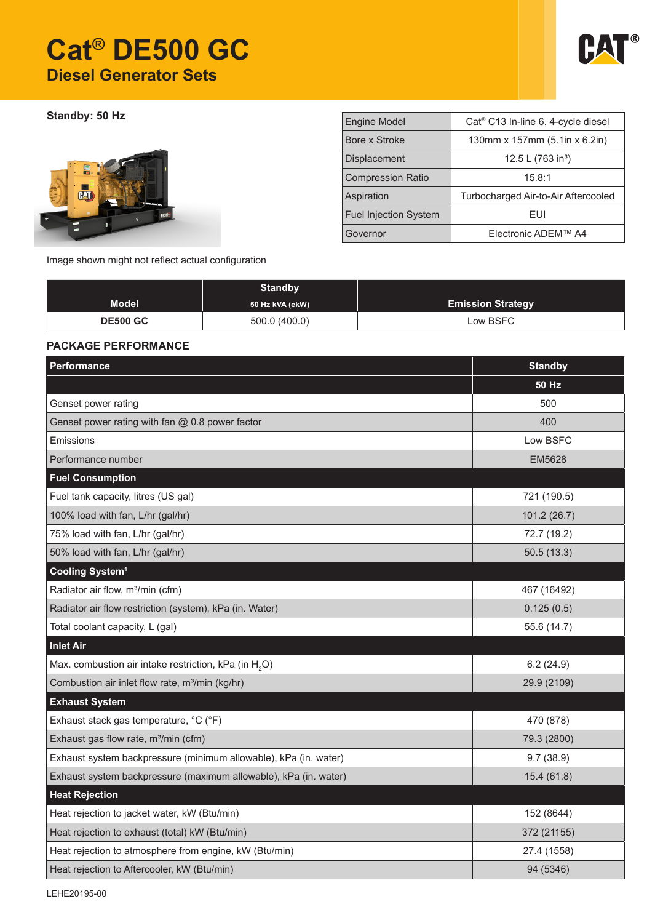# **Cat® DE500 GC Diesel Generator Sets**



**Standby: 50 Hz** 



| <b>Engine Model</b>          | Cat <sup>®</sup> C13 In-line 6, 4-cycle diesel |  |  |
|------------------------------|------------------------------------------------|--|--|
| Bore x Stroke                | 130mm x 157mm (5.1in x 6.2in)                  |  |  |
| <b>Displacement</b>          | 12.5 L $(763 in3)$                             |  |  |
| <b>Compression Ratio</b>     | 15.8:1                                         |  |  |
| Aspiration                   | Turbocharged Air-to-Air Aftercooled            |  |  |
| <b>Fuel Injection System</b> | FUI                                            |  |  |
| Governor                     | Electronic ADEM™ A4                            |  |  |

Image shown might not reflect actual configuration

|                 | <b>Standby</b>  |                          |
|-----------------|-----------------|--------------------------|
| <b>Model</b>    | 50 Hz kVA (ekW) | <b>Emission Strategy</b> |
| <b>DE500 GC</b> | 500.0 (400.0)   | Low BSFC                 |

### **PACKAGE PERFORMANCE**

| Performance                                                       | <b>Standby</b> |
|-------------------------------------------------------------------|----------------|
|                                                                   | <b>50 Hz</b>   |
| Genset power rating                                               | 500            |
| Genset power rating with fan @ 0.8 power factor                   | 400            |
| Emissions                                                         | Low BSFC       |
| Performance number                                                | <b>EM5628</b>  |
| <b>Fuel Consumption</b>                                           |                |
| Fuel tank capacity, litres (US gal)                               | 721 (190.5)    |
| 100% load with fan, L/hr (gal/hr)                                 | 101.2 (26.7)   |
| 75% load with fan, L/hr (gal/hr)                                  | 72.7 (19.2)    |
| 50% load with fan, L/hr (gal/hr)                                  | 50.5(13.3)     |
| Cooling System <sup>1</sup>                                       |                |
| Radiator air flow, m <sup>3</sup> /min (cfm)                      | 467 (16492)    |
| Radiator air flow restriction (system), kPa (in. Water)           | 0.125(0.5)     |
| Total coolant capacity, L (gal)                                   | 55.6 (14.7)    |
| <b>Inlet Air</b>                                                  |                |
| Max. combustion air intake restriction, kPa (in H <sub>2</sub> O) | 6.2(24.9)      |
| Combustion air inlet flow rate, m <sup>3</sup> /min (kg/hr)       | 29.9 (2109)    |
| <b>Exhaust System</b>                                             |                |
| Exhaust stack gas temperature, °C (°F)                            | 470 (878)      |
| Exhaust gas flow rate, m <sup>3</sup> /min (cfm)                  | 79.3 (2800)    |
| Exhaust system backpressure (minimum allowable), kPa (in. water)  | 9.7(38.9)      |
| Exhaust system backpressure (maximum allowable), kPa (in. water)  | 15.4(61.8)     |
| <b>Heat Rejection</b>                                             |                |
| Heat rejection to jacket water, kW (Btu/min)                      | 152 (8644)     |
| Heat rejection to exhaust (total) kW (Btu/min)                    | 372 (21155)    |
| Heat rejection to atmosphere from engine, kW (Btu/min)            | 27.4 (1558)    |
| Heat rejection to Aftercooler, kW (Btu/min)                       | 94 (5346)      |